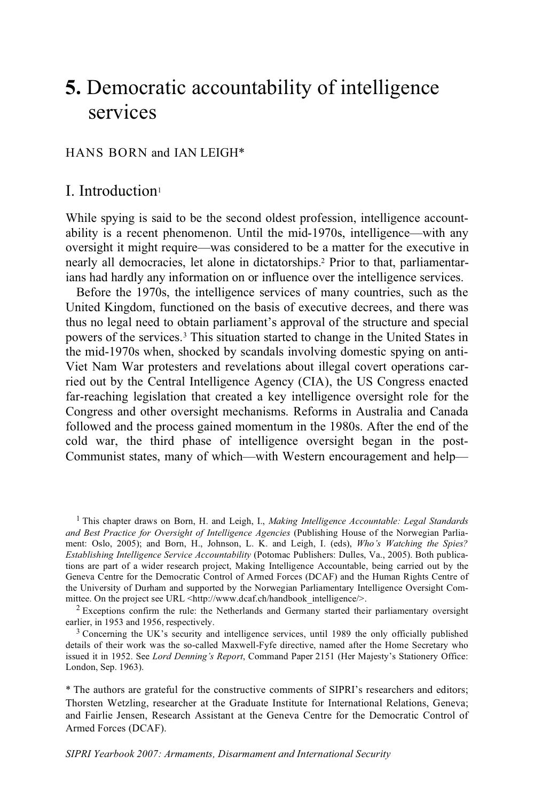# **5.** Democratic accountability of intelligence services

# HANS BORN and IAN LEIGH\*

# I. Introduction1

While spying is said to be the second oldest profession, intelligence accountability is a recent phenomenon. Until the mid-1970s, intelligence—with any oversight it might require—was considered to be a matter for the executive in nearly all democracies, let alone in dictatorships.2 Prior to that, parliamentarians had hardly any information on or influence over the intelligence services.

Before the 1970s, the intelligence services of many countries, such as the United Kingdom, functioned on the basis of executive decrees, and there was thus no legal need to obtain parliament's approval of the structure and special powers of the services.3 This situation started to change in the United States in the mid-1970s when, shocked by scandals involving domestic spying on anti-Viet Nam War protesters and revelations about illegal covert operations carried out by the Central Intelligence Agency (CIA), the US Congress enacted far-reaching legislation that created a key intelligence oversight role for the Congress and other oversight mechanisms. Reforms in Australia and Canada followed and the process gained momentum in the 1980s. After the end of the cold war, the third phase of intelligence oversight began in the post-Communist states, many of which—with Western encouragement and help—

mittee. On the project see URL <http://www.dcaf.ch/handbook\_intelligence/>.<br>
<sup>2</sup> Exceptions confirm the rule: the Netherlands and Germany started their parliamentary oversight earlier, in 1953 and 1956, respectively.

 $3$  Concerning the UK's security and intelligence services, until 1989 the only officially published details of their work was the so-called Maxwell-Fyfe directive, named after the Home Secretary who issued it in 1952. See *Lord Denning's Report*, Command Paper 2151 (Her Majesty's Stationery Office: London, Sep. 1963).

\* The authors are grateful for the constructive comments of SIPRI's researchers and editors; Thorsten Wetzling, researcher at the Graduate Institute for International Relations, Geneva; and Fairlie Jensen, Research Assistant at the Geneva Centre for the Democratic Control of Armed Forces (DCAF).

 <sup>1</sup> This chapter draws on Born, H. and Leigh, I., *Making Intelligence Accountable: Legal Standards and Best Practice for Oversight of Intelligence Agencies* (Publishing House of the Norwegian Parliament: Oslo, 2005); and Born, H., Johnson, L. K. and Leigh, I. (eds), *Who's Watching the Spies? Establishing Intelligence Service Accountability* (Potomac Publishers: Dulles, Va., 2005). Both publications are part of a wider research project, Making Intelligence Accountable, being carried out by the Geneva Centre for the Democratic Control of Armed Forces (DCAF) and the Human Rights Centre of the University of Durham and supported by the Norwegian Parliamentary Intelligence Oversight Com-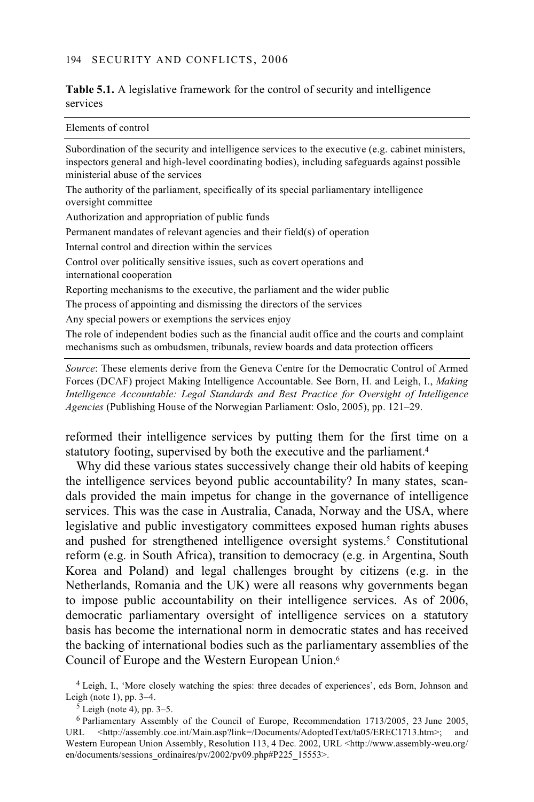## **Table 5.1.** A legislative framework for the control of security and intelligence services

| Elements of control                                                                                                                                                                                                                     |
|-----------------------------------------------------------------------------------------------------------------------------------------------------------------------------------------------------------------------------------------|
| Subordination of the security and intelligence services to the executive (e.g. cabinet ministers,<br>inspectors general and high-level coordinating bodies), including safeguards against possible<br>ministerial abuse of the services |
| The authority of the parliament, specifically of its special parliamentary intelligence<br>oversight committee                                                                                                                          |
| Authorization and appropriation of public funds                                                                                                                                                                                         |
| Permanent mandates of relevant agencies and their field(s) of operation                                                                                                                                                                 |
| Internal control and direction within the services                                                                                                                                                                                      |
| Control over politically sensitive issues, such as covert operations and<br>international cooperation                                                                                                                                   |
| Reporting mechanisms to the executive, the parliament and the wider public                                                                                                                                                              |
| The process of appointing and dismissing the directors of the services                                                                                                                                                                  |
| Any special powers or exemptions the services enjoy                                                                                                                                                                                     |
| The role of independent bodies such as the financial audit office and the courts and complaint<br>mechanisms such as ombudsmen, tribunals, review boards and data protection officers                                                   |
| Course These claments down from the Canare Control for the Democratic Control of Armed                                                                                                                                                  |

*Source*: These elements derive from the Geneva Centre for the Democratic Control of Armed Forces (DCAF) project Making Intelligence Accountable. See Born, H. and Leigh, I., *Making Intelligence Accountable: Legal Standards and Best Practice for Oversight of Intelligence Agencies* (Publishing House of the Norwegian Parliament: Oslo, 2005), pp. 121–29.

reformed their intelligence services by putting them for the first time on a statutory footing, supervised by both the executive and the parliament.4

Why did these various states successively change their old habits of keeping the intelligence services beyond public accountability? In many states, scandals provided the main impetus for change in the governance of intelligence services. This was the case in Australia, Canada, Norway and the USA, where legislative and public investigatory committees exposed human rights abuses and pushed for strengthened intelligence oversight systems.<sup>5</sup> Constitutional reform (e.g. in South Africa), transition to democracy (e.g. in Argentina, South Korea and Poland) and legal challenges brought by citizens (e.g. in the Netherlands, Romania and the UK) were all reasons why governments began to impose public accountability on their intelligence services. As of 2006, democratic parliamentary oversight of intelligence services on a statutory basis has become the international norm in democratic states and has received the backing of international bodies such as the parliamentary assemblies of the Council of Europe and the Western European Union.6

 4 Leigh, I., 'More closely watching the spies: three decades of experiences', eds Born, Johnson and Leigh (note 1), pp. 3–4.<br> $5$  Leigh (note 4), pp. 3–5.

6 Parliamentary Assembly of the Council of Europe, Recommendation 1713/2005, 23 June 2005, URL <http://assembly.coe.int/Main.asp?link=/Documents/AdoptedText/ta05/EREC1713.htm>; and Western European Union Assembly, Resolution 113, 4 Dec. 2002, URL <http://www.assembly-weu.org/ en/documents/sessions\_ordinaires/pv/2002/pv09.php#P225\_15553>.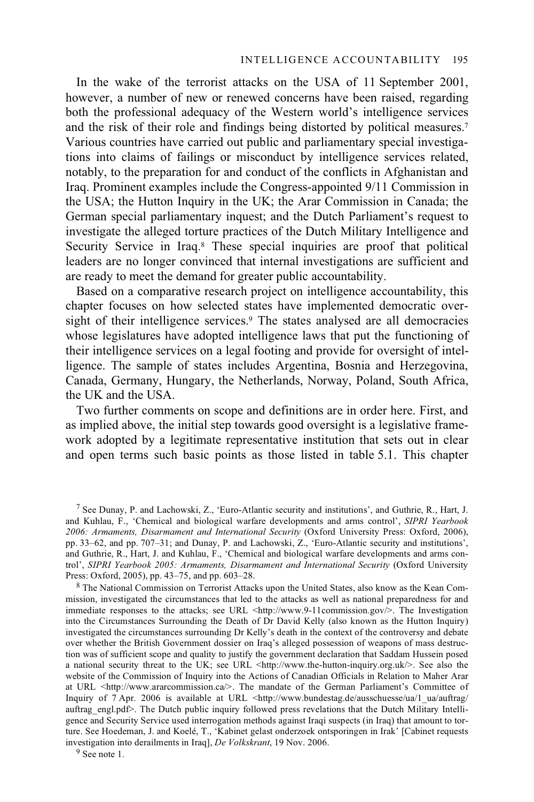In the wake of the terrorist attacks on the USA of 11 September 2001, however, a number of new or renewed concerns have been raised, regarding both the professional adequacy of the Western world's intelligence services and the risk of their role and findings being distorted by political measures.7 Various countries have carried out public and parliamentary special investigations into claims of failings or misconduct by intelligence services related, notably, to the preparation for and conduct of the conflicts in Afghanistan and Iraq. Prominent examples include the Congress-appointed 9/11 Commission in the USA; the Hutton Inquiry in the UK; the Arar Commission in Canada; the German special parliamentary inquest; and the Dutch Parliament's request to investigate the alleged torture practices of the Dutch Military Intelligence and Security Service in Iraq.<sup>8</sup> These special inquiries are proof that political leaders are no longer convinced that internal investigations are sufficient and are ready to meet the demand for greater public accountability.

Based on a comparative research project on intelligence accountability, this chapter focuses on how selected states have implemented democratic oversight of their intelligence services.<sup>9</sup> The states analysed are all democracies whose legislatures have adopted intelligence laws that put the functioning of their intelligence services on a legal footing and provide for oversight of intelligence. The sample of states includes Argentina, Bosnia and Herzegovina, Canada, Germany, Hungary, the Netherlands, Norway, Poland, South Africa, the UK and the USA.

Two further comments on scope and definitions are in order here. First, and as implied above, the initial step towards good oversight is a legislative framework adopted by a legitimate representative institution that sets out in clear and open terms such basic points as those listed in table 5.1. This chapter

 $8$  The National Commission on Terrorist Attacks upon the United States, also know as the Kean Commission, investigated the circumstances that led to the attacks as well as national preparedness for and immediate responses to the attacks; see URL <http://www.9-11commission.gov/>. The Investigation into the Circumstances Surrounding the Death of Dr David Kelly (also known as the Hutton Inquiry) investigated the circumstances surrounding Dr Kelly's death in the context of the controversy and debate over whether the British Government dossier on Iraq's alleged possession of weapons of mass destruction was of sufficient scope and quality to justify the government declaration that Saddam Hussein posed a national security threat to the UK; see URL  $\langle$ http://www.the-hutton-inquiry.org.uk $\rangle$ . See also the website of the Commission of Inquiry into the Actions of Canadian Officials in Relation to Maher Arar at URL <http://www.ararcommission.ca/>. The mandate of the German Parliament's Committee of Inquiry of 7 Apr. 2006 is available at URL <http://www.bundestag.de/ausschuesse/ua/1\_ua/auftrag/ auftrag\_engl.pdf>. The Dutch public inquiry followed press revelations that the Dutch Military Intelligence and Security Service used interrogation methods against Iraqi suspects (in Iraq) that amount to torture. See Hoedeman, J. and Koelé, T., 'Kabinet gelast onderzoek ontsporingen in Irak' [Cabinet requests investigation into derailments in Iraq], *De Volkskrant*, 19 Nov. 2006. 9 See note 1.

 <sup>7</sup> See Dunay, P. and Lachowski, Z., 'Euro-Atlantic security and institutions', and Guthrie, R., Hart, J. and Kuhlau, F., 'Chemical and biological warfare developments and arms control', *SIPRI Yearbook 2006: Armaments, Disarmament and International Security* (Oxford University Press: Oxford, 2006), pp. 33–62, and pp. 707–31; and Dunay, P. and Lachowski, Z., 'Euro-Atlantic security and institutions', and Guthrie, R., Hart, J. and Kuhlau, F., 'Chemical and biological warfare developments and arms control', *SIPRI Yearbook 2005: Armaments, Disarmament and International Security* (Oxford University Press: Oxford, 2005), pp. 43–75, and pp. 603–28.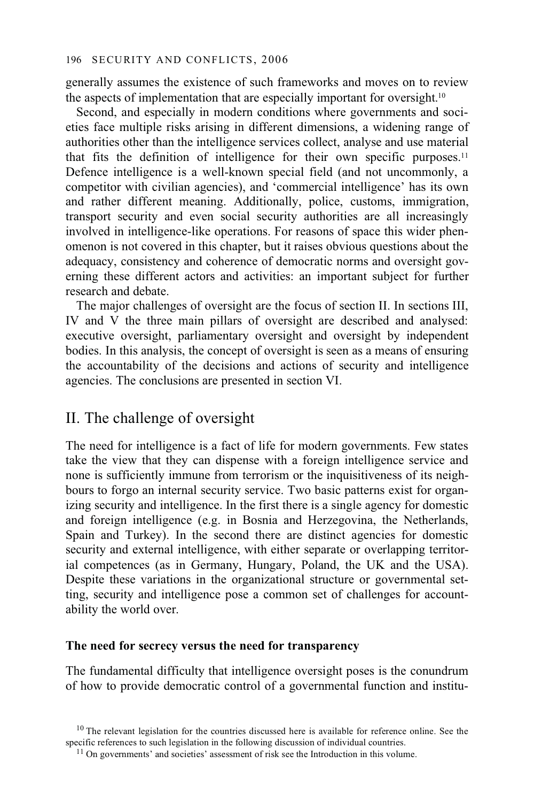generally assumes the existence of such frameworks and moves on to review the aspects of implementation that are especially important for oversight.<sup>10</sup>

Second, and especially in modern conditions where governments and societies face multiple risks arising in different dimensions, a widening range of authorities other than the intelligence services collect, analyse and use material that fits the definition of intelligence for their own specific purposes.11 Defence intelligence is a well-known special field (and not uncommonly, a competitor with civilian agencies), and 'commercial intelligence' has its own and rather different meaning. Additionally, police, customs, immigration, transport security and even social security authorities are all increasingly involved in intelligence-like operations. For reasons of space this wider phenomenon is not covered in this chapter, but it raises obvious questions about the adequacy, consistency and coherence of democratic norms and oversight governing these different actors and activities: an important subject for further research and debate.

The major challenges of oversight are the focus of section II. In sections III, IV and V the three main pillars of oversight are described and analysed: executive oversight, parliamentary oversight and oversight by independent bodies. In this analysis, the concept of oversight is seen as a means of ensuring the accountability of the decisions and actions of security and intelligence agencies. The conclusions are presented in section VI.

# II. The challenge of oversight

The need for intelligence is a fact of life for modern governments. Few states take the view that they can dispense with a foreign intelligence service and none is sufficiently immune from terrorism or the inquisitiveness of its neighbours to forgo an internal security service. Two basic patterns exist for organizing security and intelligence. In the first there is a single agency for domestic and foreign intelligence (e.g. in Bosnia and Herzegovina, the Netherlands, Spain and Turkey). In the second there are distinct agencies for domestic security and external intelligence, with either separate or overlapping territorial competences (as in Germany, Hungary, Poland, the UK and the USA). Despite these variations in the organizational structure or governmental setting, security and intelligence pose a common set of challenges for accountability the world over.

## **The need for secrecy versus the need for transparency**

The fundamental difficulty that intelligence oversight poses is the conundrum of how to provide democratic control of a governmental function and institu-

 $10$  The relevant legislation for the countries discussed here is available for reference online. See the specific references to such legislation in the following discussion of individual countries.  $11$  On governments' and societies' assessment of risk see the Introduction in this volume.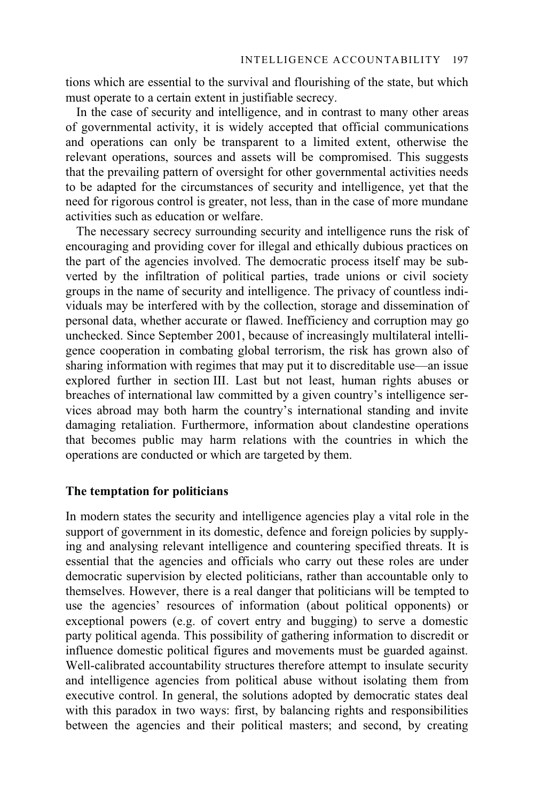tions which are essential to the survival and flourishing of the state, but which must operate to a certain extent in justifiable secrecy.

In the case of security and intelligence, and in contrast to many other areas of governmental activity, it is widely accepted that official communications and operations can only be transparent to a limited extent, otherwise the relevant operations, sources and assets will be compromised. This suggests that the prevailing pattern of oversight for other governmental activities needs to be adapted for the circumstances of security and intelligence, yet that the need for rigorous control is greater, not less, than in the case of more mundane activities such as education or welfare.

The necessary secrecy surrounding security and intelligence runs the risk of encouraging and providing cover for illegal and ethically dubious practices on the part of the agencies involved. The democratic process itself may be subverted by the infiltration of political parties, trade unions or civil society groups in the name of security and intelligence. The privacy of countless individuals may be interfered with by the collection, storage and dissemination of personal data, whether accurate or flawed. Inefficiency and corruption may go unchecked. Since September 2001, because of increasingly multilateral intelligence cooperation in combating global terrorism, the risk has grown also of sharing information with regimes that may put it to discreditable use—an issue explored further in section III. Last but not least, human rights abuses or breaches of international law committed by a given country's intelligence services abroad may both harm the country's international standing and invite damaging retaliation. Furthermore, information about clandestine operations that becomes public may harm relations with the countries in which the operations are conducted or which are targeted by them.

## **The temptation for politicians**

In modern states the security and intelligence agencies play a vital role in the support of government in its domestic, defence and foreign policies by supplying and analysing relevant intelligence and countering specified threats. It is essential that the agencies and officials who carry out these roles are under democratic supervision by elected politicians, rather than accountable only to themselves. However, there is a real danger that politicians will be tempted to use the agencies' resources of information (about political opponents) or exceptional powers (e.g. of covert entry and bugging) to serve a domestic party political agenda. This possibility of gathering information to discredit or influence domestic political figures and movements must be guarded against. Well-calibrated accountability structures therefore attempt to insulate security and intelligence agencies from political abuse without isolating them from executive control. In general, the solutions adopted by democratic states deal with this paradox in two ways: first, by balancing rights and responsibilities between the agencies and their political masters; and second, by creating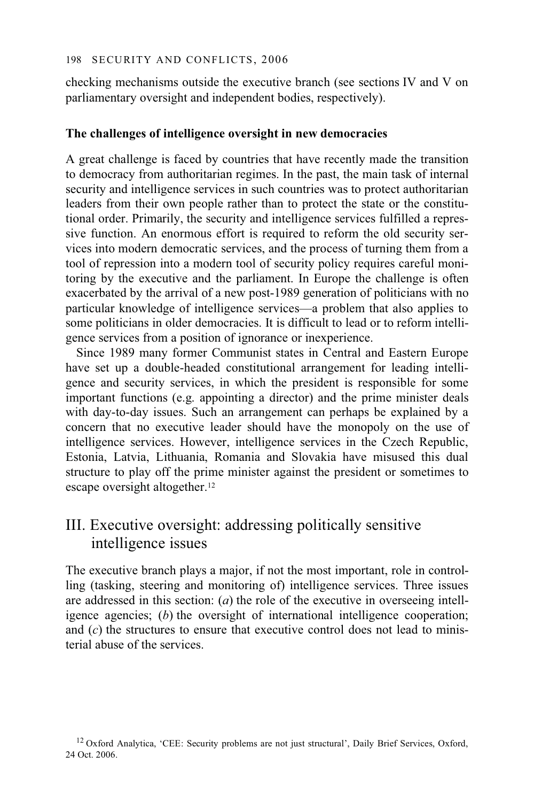checking mechanisms outside the executive branch (see sections IV and V on parliamentary oversight and independent bodies, respectively).

# **The challenges of intelligence oversight in new democracies**

A great challenge is faced by countries that have recently made the transition to democracy from authoritarian regimes. In the past, the main task of internal security and intelligence services in such countries was to protect authoritarian leaders from their own people rather than to protect the state or the constitutional order. Primarily, the security and intelligence services fulfilled a repressive function. An enormous effort is required to reform the old security services into modern democratic services, and the process of turning them from a tool of repression into a modern tool of security policy requires careful monitoring by the executive and the parliament. In Europe the challenge is often exacerbated by the arrival of a new post-1989 generation of politicians with no particular knowledge of intelligence services—a problem that also applies to some politicians in older democracies. It is difficult to lead or to reform intelligence services from a position of ignorance or inexperience.

Since 1989 many former Communist states in Central and Eastern Europe have set up a double-headed constitutional arrangement for leading intelligence and security services, in which the president is responsible for some important functions (e.g. appointing a director) and the prime minister deals with day-to-day issues. Such an arrangement can perhaps be explained by a concern that no executive leader should have the monopoly on the use of intelligence services. However, intelligence services in the Czech Republic, Estonia, Latvia, Lithuania, Romania and Slovakia have misused this dual structure to play off the prime minister against the president or sometimes to escape oversight altogether.<sup>12</sup>

# III. Executive oversight: addressing politically sensitive intelligence issues

The executive branch plays a major, if not the most important, role in controlling (tasking, steering and monitoring of) intelligence services. Three issues are addressed in this section: (*a*) the role of the executive in overseeing intelligence agencies; (*b*) the oversight of international intelligence cooperation; and (*c*) the structures to ensure that executive control does not lead to ministerial abuse of the services.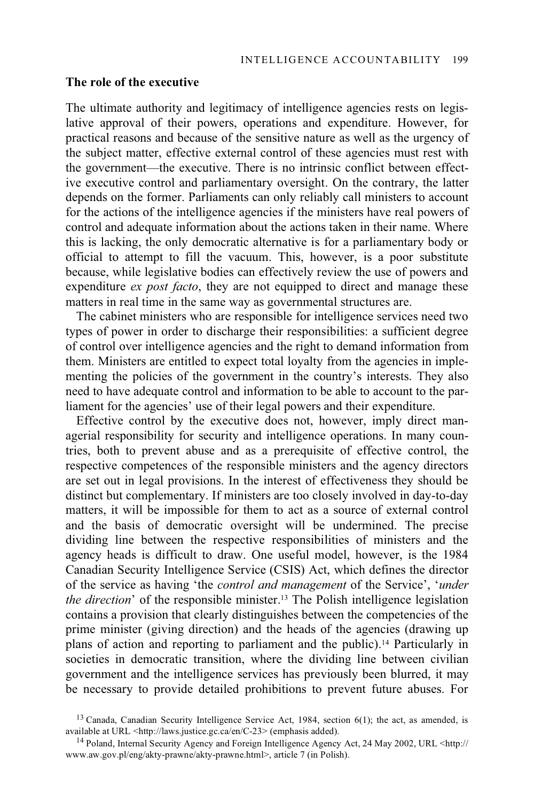# **The role of the executive**

The ultimate authority and legitimacy of intelligence agencies rests on legislative approval of their powers, operations and expenditure. However, for practical reasons and because of the sensitive nature as well as the urgency of the subject matter, effective external control of these agencies must rest with the government—the executive. There is no intrinsic conflict between effective executive control and parliamentary oversight. On the contrary, the latter depends on the former. Parliaments can only reliably call ministers to account for the actions of the intelligence agencies if the ministers have real powers of control and adequate information about the actions taken in their name. Where this is lacking, the only democratic alternative is for a parliamentary body or official to attempt to fill the vacuum. This, however, is a poor substitute because, while legislative bodies can effectively review the use of powers and expenditure *ex post facto*, they are not equipped to direct and manage these matters in real time in the same way as governmental structures are.

The cabinet ministers who are responsible for intelligence services need two types of power in order to discharge their responsibilities: a sufficient degree of control over intelligence agencies and the right to demand information from them. Ministers are entitled to expect total loyalty from the agencies in implementing the policies of the government in the country's interests. They also need to have adequate control and information to be able to account to the parliament for the agencies' use of their legal powers and their expenditure.

Effective control by the executive does not, however, imply direct managerial responsibility for security and intelligence operations. In many countries, both to prevent abuse and as a prerequisite of effective control, the respective competences of the responsible ministers and the agency directors are set out in legal provisions. In the interest of effectiveness they should be distinct but complementary. If ministers are too closely involved in day-to-day matters, it will be impossible for them to act as a source of external control and the basis of democratic oversight will be undermined. The precise dividing line between the respective responsibilities of ministers and the agency heads is difficult to draw. One useful model, however, is the 1984 Canadian Security Intelligence Service (CSIS) Act, which defines the director of the service as having 'the *control and management* of the Service', '*under the direction*' of the responsible minister.<sup>13</sup> The Polish intelligence legislation contains a provision that clearly distinguishes between the competencies of the prime minister (giving direction) and the heads of the agencies (drawing up plans of action and reporting to parliament and the public).14 Particularly in societies in democratic transition, where the dividing line between civilian government and the intelligence services has previously been blurred, it may be necessary to provide detailed prohibitions to prevent future abuses. For

<sup>&</sup>lt;sup>13</sup> Canada, Canadian Security Intelligence Service Act, 1984, section  $6(1)$ ; the act, as amended, is available at URL <http://laws.justice.gc.ca/en/C-23> (emphasis added).

<sup>&</sup>lt;sup>14</sup> Poland, Internal Security Agency and Foreign Intelligence Agency Act, 24 May 2002, URL <http:// www.aw.gov.pl/eng/akty-prawne/akty-prawne.html>, article 7 (in Polish).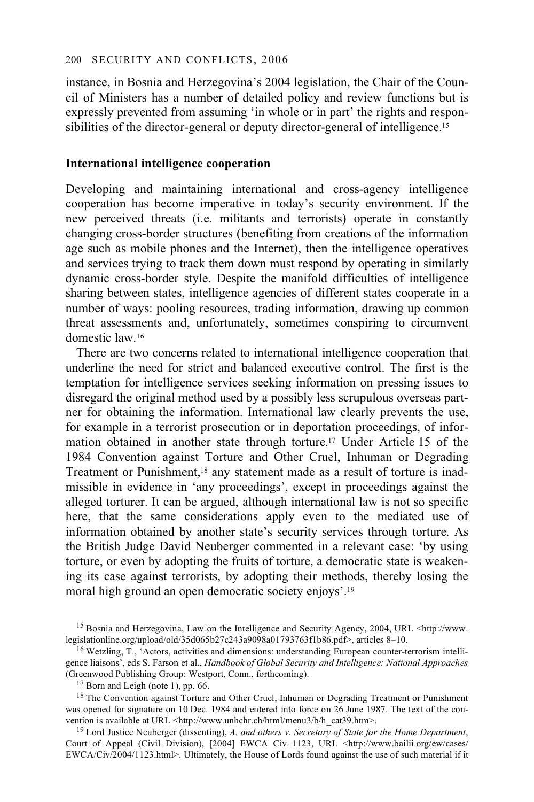instance, in Bosnia and Herzegovina's 2004 legislation, the Chair of the Council of Ministers has a number of detailed policy and review functions but is expressly prevented from assuming 'in whole or in part' the rights and responsibilities of the director-general or deputy director-general of intelligence.<sup>15</sup>

# **International intelligence cooperation**

Developing and maintaining international and cross-agency intelligence cooperation has become imperative in today's security environment. If the new perceived threats (i.e. militants and terrorists) operate in constantly changing cross-border structures (benefiting from creations of the information age such as mobile phones and the Internet), then the intelligence operatives and services trying to track them down must respond by operating in similarly dynamic cross-border style. Despite the manifold difficulties of intelligence sharing between states, intelligence agencies of different states cooperate in a number of ways: pooling resources, trading information, drawing up common threat assessments and, unfortunately, sometimes conspiring to circumvent domestic law.16

There are two concerns related to international intelligence cooperation that underline the need for strict and balanced executive control. The first is the temptation for intelligence services seeking information on pressing issues to disregard the original method used by a possibly less scrupulous overseas partner for obtaining the information. International law clearly prevents the use, for example in a terrorist prosecution or in deportation proceedings, of information obtained in another state through torture.17 Under Article 15 of the 1984 Convention against Torture and Other Cruel, Inhuman or Degrading Treatment or Punishment,18 any statement made as a result of torture is inadmissible in evidence in 'any proceedings', except in proceedings against the alleged torturer. It can be argued, although international law is not so specific here, that the same considerations apply even to the mediated use of information obtained by another state's security services through torture. As the British Judge David Neuberger commented in a relevant case: 'by using torture, or even by adopting the fruits of torture, a democratic state is weakening its case against terrorists, by adopting their methods, thereby losing the moral high ground an open democratic society enjoys'.19

<sup>&</sup>lt;sup>15</sup> Bosnia and Herzegovina, Law on the Intelligence and Security Agency, 2004, URL <http://www.<br>legislationline.org/upload/old/35d065b27c243a9098a01793763f1b86.pdf>, articles 8-10.

 $16$  Wetzling, T., 'Actors, activities and dimensions: understanding European counter-terrorism intelligence liaisons', eds S. Farson et al., *Handbook of Global Security and Intelligence: National Approaches*  (Greenwood Publishing Group: Westport, Conn., forthcoming). 17 Born and Leigh (note 1), pp. 66.

<sup>&</sup>lt;sup>18</sup> The Convention against Torture and Other Cruel, Inhuman or Degrading Treatment or Punishment was opened for signature on 10 Dec. 1984 and entered into force on 26 June 1987. The text of the convention is available at URL <http://www.unhchr.ch/html/menu3/b/h cat39.htm>.

<sup>&</sup>lt;sup>19</sup> Lord Justice Neuberger (dissenting), *A. and others v. Secretary of State for the Home Department*, Court of Appeal (Civil Division), [2004] EWCA Civ. 1123, URL <http://www.bailii.org/ew/cases/ EWCA/Civ/2004/1123.html>. Ultimately, the House of Lords found against the use of such material if it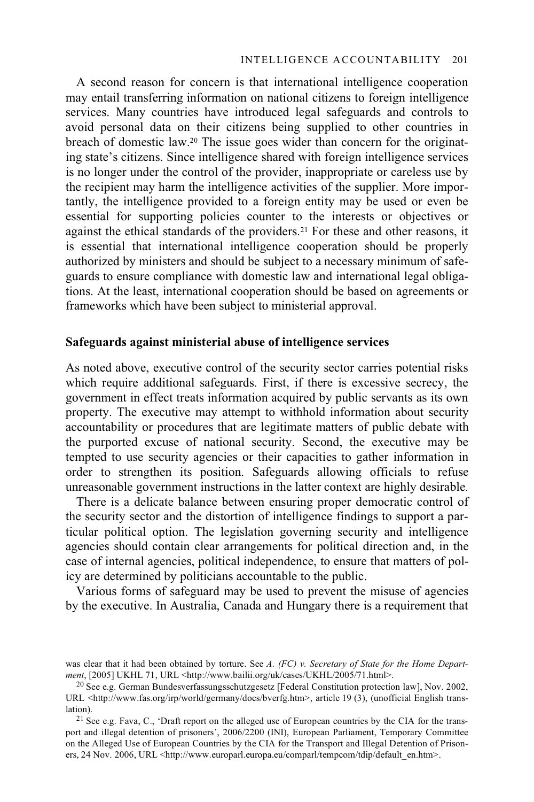A second reason for concern is that international intelligence cooperation may entail transferring information on national citizens to foreign intelligence services. Many countries have introduced legal safeguards and controls to avoid personal data on their citizens being supplied to other countries in breach of domestic law.20 The issue goes wider than concern for the originating state's citizens. Since intelligence shared with foreign intelligence services is no longer under the control of the provider, inappropriate or careless use by the recipient may harm the intelligence activities of the supplier. More importantly, the intelligence provided to a foreign entity may be used or even be essential for supporting policies counter to the interests or objectives or against the ethical standards of the providers.21 For these and other reasons, it is essential that international intelligence cooperation should be properly authorized by ministers and should be subject to a necessary minimum of safeguards to ensure compliance with domestic law and international legal obligations. At the least, international cooperation should be based on agreements or frameworks which have been subject to ministerial approval.

# **Safeguards against ministerial abuse of intelligence services**

As noted above, executive control of the security sector carries potential risks which require additional safeguards. First, if there is excessive secrecy, the government in effect treats information acquired by public servants as its own property. The executive may attempt to withhold information about security accountability or procedures that are legitimate matters of public debate with the purported excuse of national security. Second, the executive may be tempted to use security agencies or their capacities to gather information in order to strengthen its position. Safeguards allowing officials to refuse unreasonable government instructions in the latter context are highly desirable.

There is a delicate balance between ensuring proper democratic control of the security sector and the distortion of intelligence findings to support a particular political option. The legislation governing security and intelligence agencies should contain clear arrangements for political direction and, in the case of internal agencies, political independence, to ensure that matters of policy are determined by politicians accountable to the public.

Various forms of safeguard may be used to prevent the misuse of agencies by the executive. In Australia, Canada and Hungary there is a requirement that

was clear that it had been obtained by torture. See *A. (FC) v. Secretary of State for the Home Department*, [2005] UKHL 71, URL <http://www.bailii.org/uk/cases/UKHL/2005/71.html>.

<sup>20</sup> See e.g. German Bundesverfassungsschutzgesetz [Federal Constitution protection law], Nov. 2002, URL <http://www.fas.org/irp/world/germany/docs/bverfg.htm>, article 19 (3), (unofficial English translation).<br><sup>21</sup> See e.g. Fava, C., 'Draft report on the alleged use of European countries by the CIA for the trans-

port and illegal detention of prisoners', 2006/2200 (INI), European Parliament, Temporary Committee on the Alleged Use of European Countries by the CIA for the Transport and Illegal Detention of Prisoners, 24 Nov. 2006, URL <http://www.europarl.europa.eu/comparl/tempcom/tdip/default\_en.htm>.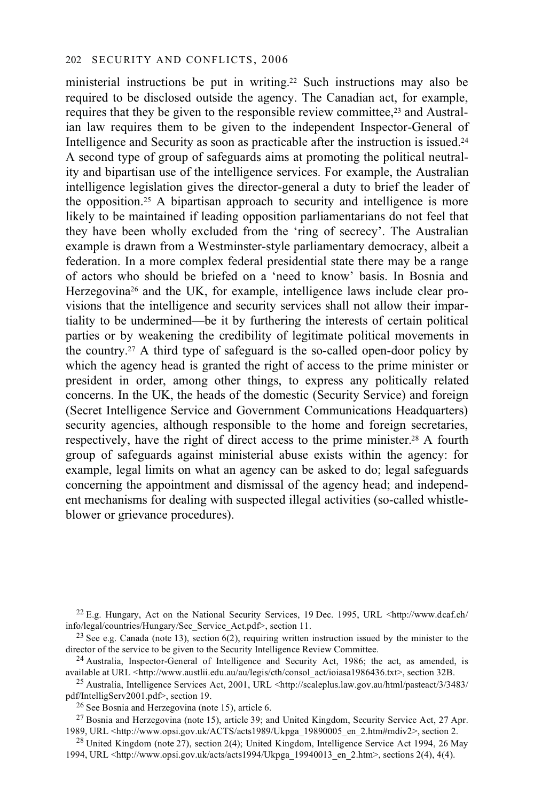ministerial instructions be put in writing.22 Such instructions may also be required to be disclosed outside the agency. The Canadian act, for example, requires that they be given to the responsible review committee.<sup>23</sup> and Australian law requires them to be given to the independent Inspector-General of Intelligence and Security as soon as practicable after the instruction is issued. $24$ A second type of group of safeguards aims at promoting the political neutrality and bipartisan use of the intelligence services. For example, the Australian intelligence legislation gives the director-general a duty to brief the leader of the opposition.25 A bipartisan approach to security and intelligence is more likely to be maintained if leading opposition parliamentarians do not feel that they have been wholly excluded from the 'ring of secrecy'. The Australian example is drawn from a Westminster-style parliamentary democracy, albeit a federation. In a more complex federal presidential state there may be a range of actors who should be briefed on a 'need to know' basis. In Bosnia and Herzegovina26 and the UK, for example, intelligence laws include clear provisions that the intelligence and security services shall not allow their impartiality to be undermined—be it by furthering the interests of certain political parties or by weakening the credibility of legitimate political movements in the country.27 A third type of safeguard is the so-called open-door policy by which the agency head is granted the right of access to the prime minister or president in order, among other things, to express any politically related concerns. In the UK, the heads of the domestic (Security Service) and foreign (Secret Intelligence Service and Government Communications Headquarters) security agencies, although responsible to the home and foreign secretaries, respectively, have the right of direct access to the prime minister.28 A fourth group of safeguards against ministerial abuse exists within the agency: for example, legal limits on what an agency can be asked to do; legal safeguards concerning the appointment and dismissal of the agency head; and independent mechanisms for dealing with suspected illegal activities (so-called whistleblower or grievance procedures).

<sup>22</sup> E.g. Hungary, Act on the National Security Services, 19 Dec. 1995, URL <http://www.dcaf.ch/<br>info/legal/countries/Hungary/Sec Service Act.pdf>, section 11.

<sup>23</sup> See e.g. Canada (note 13), section 6(2), requiring written instruction issued by the minister to the director of the service to be given to the Security Intelligence Review Committee.

<sup>24</sup> Australia, Inspector-General of Intelligence and Security Act, 1986; the act, as amended, is available at URL <http://www.austlii.edu.au/au/legis/cth/consol act/ioiasa1986436.txt>, section 32B.

<sup>25</sup> Australia, Intelligence Services Act, 2001, URL <http://scaleplus.law.gov.au/html/pasteact/3/3483/<br>pdf/IntelligServ2001.pdf>, section 19.

 $26$  See Bosnia and Herzegovina (note 15), article 6.

<sup>27</sup> Bosnia and Herzegovina (note 15), article 39; and United Kingdom, Security Service Act, 27 Apr.<br>1989, URL <http://www.opsi.gov.uk/ACTS/acts1989/Ukpga 19890005 en 2.htm#mdiv2>, section 2.

<sup>28</sup> United Kingdom (note 27), section 2(4); United Kingdom, Intelligence Service Act 1994, 26 May 1994, URL <http://www.opsi.gov.uk/acts/acts1994/Ukpga\_19940013\_en\_2.htm>, sections 2(4), 4(4).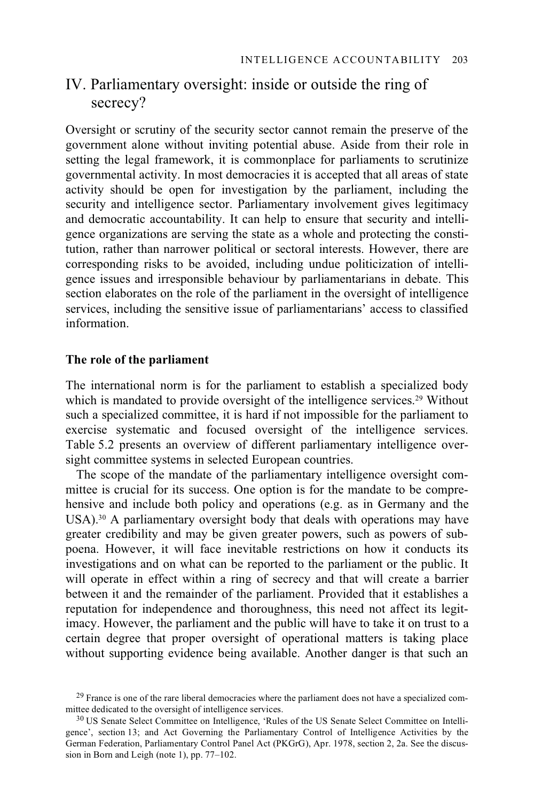# IV. Parliamentary oversight: inside or outside the ring of secrecy?

Oversight or scrutiny of the security sector cannot remain the preserve of the government alone without inviting potential abuse. Aside from their role in setting the legal framework, it is commonplace for parliaments to scrutinize governmental activity. In most democracies it is accepted that all areas of state activity should be open for investigation by the parliament, including the security and intelligence sector. Parliamentary involvement gives legitimacy and democratic accountability. It can help to ensure that security and intelligence organizations are serving the state as a whole and protecting the constitution, rather than narrower political or sectoral interests. However, there are corresponding risks to be avoided, including undue politicization of intelligence issues and irresponsible behaviour by parliamentarians in debate. This section elaborates on the role of the parliament in the oversight of intelligence services, including the sensitive issue of parliamentarians' access to classified information.

# **The role of the parliament**

The international norm is for the parliament to establish a specialized body which is mandated to provide oversight of the intelligence services.<sup>29</sup> Without such a specialized committee, it is hard if not impossible for the parliament to exercise systematic and focused oversight of the intelligence services. Table 5.2 presents an overview of different parliamentary intelligence oversight committee systems in selected European countries.

The scope of the mandate of the parliamentary intelligence oversight committee is crucial for its success. One option is for the mandate to be comprehensive and include both policy and operations (e.g. as in Germany and the USA).<sup>30</sup> A parliamentary oversight body that deals with operations may have greater credibility and may be given greater powers, such as powers of subpoena. However, it will face inevitable restrictions on how it conducts its investigations and on what can be reported to the parliament or the public. It will operate in effect within a ring of secrecy and that will create a barrier between it and the remainder of the parliament. Provided that it establishes a reputation for independence and thoroughness, this need not affect its legitimacy. However, the parliament and the public will have to take it on trust to a certain degree that proper oversight of operational matters is taking place without supporting evidence being available. Another danger is that such an

 $^{29}$  France is one of the rare liberal democracies where the parliament does not have a specialized com-<br>mittee dedicated to the oversight of intelligence services.

<sup>&</sup>lt;sup>30</sup> US Senate Select Committee on Intelligence, 'Rules of the US Senate Select Committee on Intelligence', section 13; and Act Governing the Parliamentary Control of Intelligence Activities by the German Federation, Parliamentary Control Panel Act (PKGrG), Apr. 1978, section 2, 2a. See the discussion in Born and Leigh (note 1), pp. 77–102.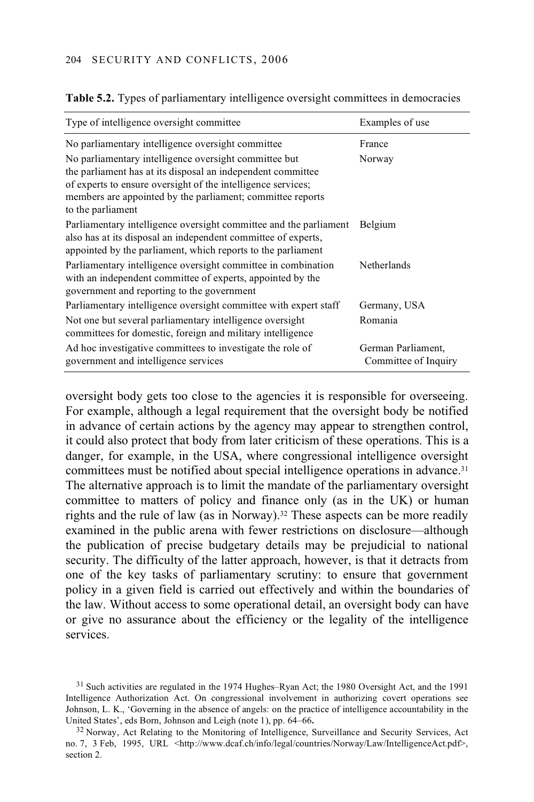| Type of intelligence oversight committee                                                                                                                                                                                                           | Examples of use                            |
|----------------------------------------------------------------------------------------------------------------------------------------------------------------------------------------------------------------------------------------------------|--------------------------------------------|
| No parliamentary intelligence oversight committee                                                                                                                                                                                                  | France                                     |
| No parliamentary intelligence oversight committee but<br>the parliament has at its disposal an independent committee<br>of experts to ensure oversight of the intelligence services;<br>members are appointed by the parliament; committee reports | Norway                                     |
| to the parliament                                                                                                                                                                                                                                  |                                            |
| Parliamentary intelligence oversight committee and the parliament<br>also has at its disposal an independent committee of experts,<br>appointed by the parliament, which reports to the parliament                                                 | Belgium                                    |
| Parliamentary intelligence oversight committee in combination<br>with an independent committee of experts, appointed by the<br>government and reporting to the government                                                                          | <b>Netherlands</b>                         |
| Parliamentary intelligence oversight committee with expert staff                                                                                                                                                                                   | Germany, USA                               |
| Not one but several parliamentary intelligence oversight<br>committees for domestic, foreign and military intelligence                                                                                                                             | Romania                                    |
| Ad hoc investigative committees to investigate the role of<br>government and intelligence services                                                                                                                                                 | German Parliament,<br>Committee of Inquiry |

**Table 5.2.** Types of parliamentary intelligence oversight committees in democracies

oversight body gets too close to the agencies it is responsible for overseeing. For example, although a legal requirement that the oversight body be notified in advance of certain actions by the agency may appear to strengthen control, it could also protect that body from later criticism of these operations. This is a danger, for example, in the USA, where congressional intelligence oversight committees must be notified about special intelligence operations in advance.<sup>31</sup> The alternative approach is to limit the mandate of the parliamentary oversight committee to matters of policy and finance only (as in the UK) or human rights and the rule of law (as in Norway).<sup>32</sup> These aspects can be more readily examined in the public arena with fewer restrictions on disclosure—although the publication of precise budgetary details may be prejudicial to national security. The difficulty of the latter approach, however, is that it detracts from one of the key tasks of parliamentary scrutiny: to ensure that government policy in a given field is carried out effectively and within the boundaries of the law. Without access to some operational detail, an oversight body can have or give no assurance about the efficiency or the legality of the intelligence services.

<sup>&</sup>lt;sup>31</sup> Such activities are regulated in the 1974 Hughes–Ryan Act; the 1980 Oversight Act, and the 1991 Intelligence Authorization Act. On congressional involvement in authorizing covert operations see Johnson, L. K., 'Governing in the absence of angels: on the practice of intelligence accountability in the United States', eds Born, Johnson and Leigh (note 1), pp. 64–66**.**

<sup>&</sup>lt;sup>32</sup> Norway, Act Relating to the Monitoring of Intelligence, Surveillance and Security Services, Act no. 7, 3 Feb, 1995, URL <http://www.dcaf.ch/info/legal/countries/Norway/Law/IntelligenceAct.pdf>, section 2.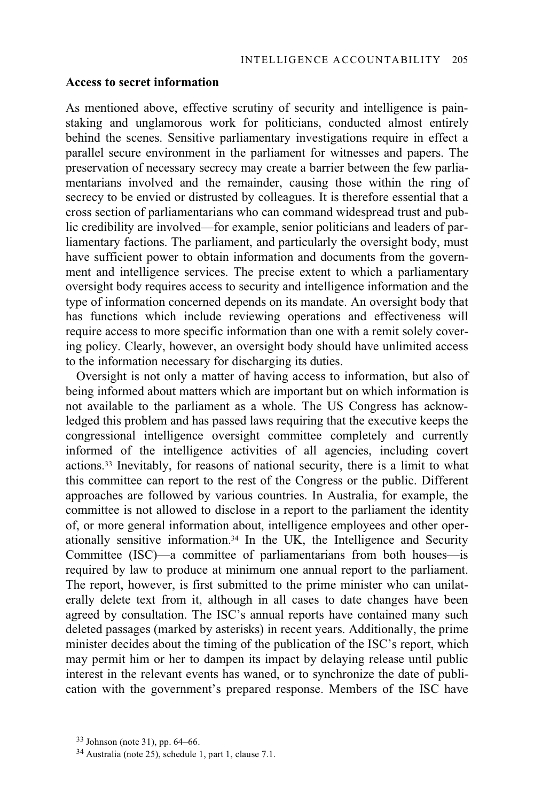#### **Access to secret information**

As mentioned above, effective scrutiny of security and intelligence is painstaking and unglamorous work for politicians, conducted almost entirely behind the scenes. Sensitive parliamentary investigations require in effect a parallel secure environment in the parliament for witnesses and papers. The preservation of necessary secrecy may create a barrier between the few parliamentarians involved and the remainder, causing those within the ring of secrecy to be envied or distrusted by colleagues. It is therefore essential that a cross section of parliamentarians who can command widespread trust and public credibility are involved—for example, senior politicians and leaders of parliamentary factions. The parliament, and particularly the oversight body, must have sufficient power to obtain information and documents from the government and intelligence services. The precise extent to which a parliamentary oversight body requires access to security and intelligence information and the type of information concerned depends on its mandate. An oversight body that has functions which include reviewing operations and effectiveness will require access to more specific information than one with a remit solely covering policy. Clearly, however, an oversight body should have unlimited access to the information necessary for discharging its duties.

Oversight is not only a matter of having access to information, but also of being informed about matters which are important but on which information is not available to the parliament as a whole. The US Congress has acknowledged this problem and has passed laws requiring that the executive keeps the congressional intelligence oversight committee completely and currently informed of the intelligence activities of all agencies, including covert actions.33 Inevitably, for reasons of national security, there is a limit to what this committee can report to the rest of the Congress or the public. Different approaches are followed by various countries. In Australia, for example, the committee is not allowed to disclose in a report to the parliament the identity of, or more general information about, intelligence employees and other operationally sensitive information.34 In the UK, the Intelligence and Security Committee (ISC)—a committee of parliamentarians from both houses—is required by law to produce at minimum one annual report to the parliament. The report, however, is first submitted to the prime minister who can unilaterally delete text from it, although in all cases to date changes have been agreed by consultation. The ISC's annual reports have contained many such deleted passages (marked by asterisks) in recent years. Additionally, the prime minister decides about the timing of the publication of the ISC's report, which may permit him or her to dampen its impact by delaying release until public interest in the relevant events has waned, or to synchronize the date of publication with the government's prepared response. Members of the ISC have

 <sup>33</sup> Johnson (note 31), pp. 64–66.

<sup>34</sup> Australia (note 25), schedule 1, part 1, clause 7.1.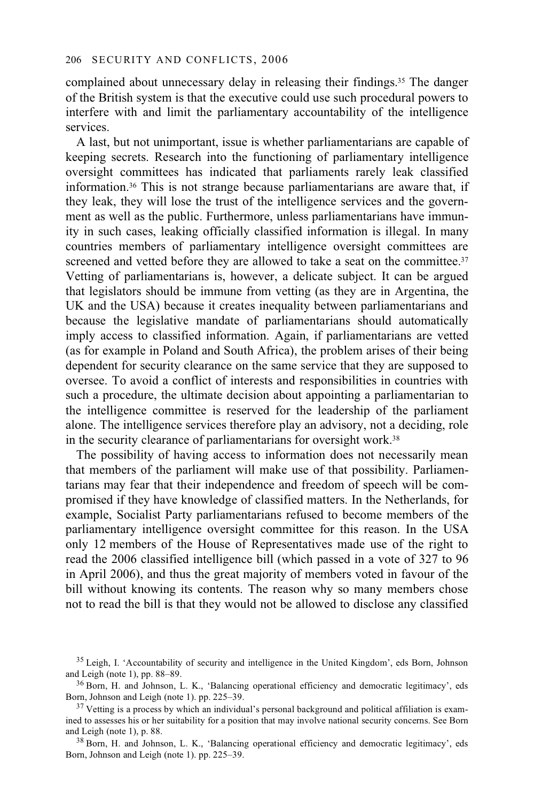complained about unnecessary delay in releasing their findings.35 The danger of the British system is that the executive could use such procedural powers to interfere with and limit the parliamentary accountability of the intelligence services.

A last, but not unimportant, issue is whether parliamentarians are capable of keeping secrets. Research into the functioning of parliamentary intelligence oversight committees has indicated that parliaments rarely leak classified information.36 This is not strange because parliamentarians are aware that, if they leak, they will lose the trust of the intelligence services and the government as well as the public. Furthermore, unless parliamentarians have immunity in such cases, leaking officially classified information is illegal. In many countries members of parliamentary intelligence oversight committees are screened and vetted before they are allowed to take a seat on the committee.<sup>37</sup> Vetting of parliamentarians is, however, a delicate subject. It can be argued that legislators should be immune from vetting (as they are in Argentina, the UK and the USA) because it creates inequality between parliamentarians and because the legislative mandate of parliamentarians should automatically imply access to classified information. Again, if parliamentarians are vetted (as for example in Poland and South Africa), the problem arises of their being dependent for security clearance on the same service that they are supposed to oversee. To avoid a conflict of interests and responsibilities in countries with such a procedure, the ultimate decision about appointing a parliamentarian to the intelligence committee is reserved for the leadership of the parliament alone. The intelligence services therefore play an advisory, not a deciding, role in the security clearance of parliamentarians for oversight work.38

The possibility of having access to information does not necessarily mean that members of the parliament will make use of that possibility. Parliamentarians may fear that their independence and freedom of speech will be compromised if they have knowledge of classified matters. In the Netherlands, for example, Socialist Party parliamentarians refused to become members of the parliamentary intelligence oversight committee for this reason. In the USA only 12 members of the House of Representatives made use of the right to read the 2006 classified intelligence bill (which passed in a vote of 327 to 96 in April 2006), and thus the great majority of members voted in favour of the bill without knowing its contents. The reason why so many members chose not to read the bill is that they would not be allowed to disclose any classified

Born, Johnson and Leigh (note 1). pp. 225–39.

 $35$  Leigh, I. 'Accountability of security and intelligence in the United Kingdom', eds Born, Johnson and Leigh (note 1), pp. 88–89.

 $36$  Born, H. and Johnson, L. K., 'Balancing operational efficiency and democratic legitimacy', eds Born, Johnson and Leigh (note 1). pp. 225–39.

 $37$  Vetting is a process by which an individual's personal background and political affiliation is examined to assesses his or her suitability for a position that may involve national security concerns. See Born and Leigh (note 1), p. 88.<br><sup>38</sup> Born, H. and Johnson, L. K., 'Balancing operational efficiency and democratic legitimacy', eds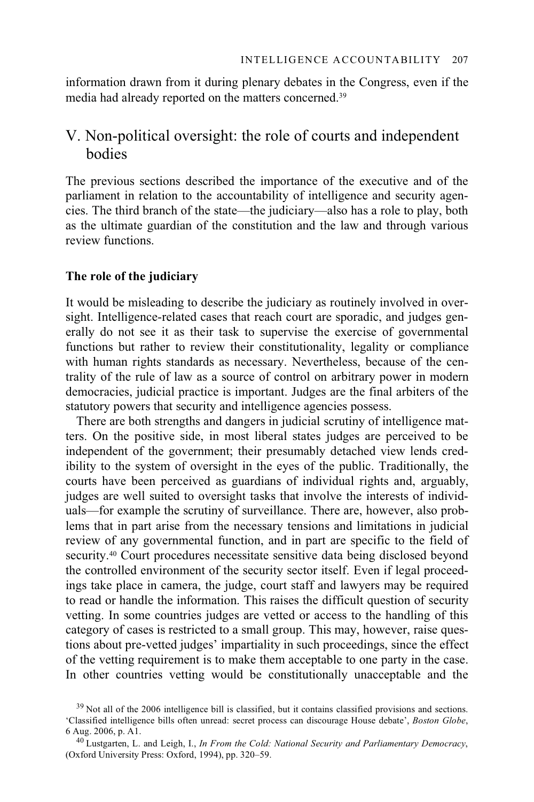information drawn from it during plenary debates in the Congress, even if the media had already reported on the matters concerned.39

# V. Non-political oversight: the role of courts and independent bodies

The previous sections described the importance of the executive and of the parliament in relation to the accountability of intelligence and security agencies. The third branch of the state—the judiciary—also has a role to play, both as the ultimate guardian of the constitution and the law and through various review functions.

# **The role of the judiciary**

It would be misleading to describe the judiciary as routinely involved in oversight. Intelligence-related cases that reach court are sporadic, and judges generally do not see it as their task to supervise the exercise of governmental functions but rather to review their constitutionality, legality or compliance with human rights standards as necessary. Nevertheless, because of the centrality of the rule of law as a source of control on arbitrary power in modern democracies, judicial practice is important. Judges are the final arbiters of the statutory powers that security and intelligence agencies possess.

There are both strengths and dangers in judicial scrutiny of intelligence matters. On the positive side, in most liberal states judges are perceived to be independent of the government; their presumably detached view lends credibility to the system of oversight in the eyes of the public. Traditionally, the courts have been perceived as guardians of individual rights and, arguably, judges are well suited to oversight tasks that involve the interests of individuals—for example the scrutiny of surveillance. There are, however, also problems that in part arise from the necessary tensions and limitations in judicial review of any governmental function, and in part are specific to the field of security.40 Court procedures necessitate sensitive data being disclosed beyond the controlled environment of the security sector itself. Even if legal proceedings take place in camera, the judge, court staff and lawyers may be required to read or handle the information. This raises the difficult question of security vetting. In some countries judges are vetted or access to the handling of this category of cases is restricted to a small group. This may, however, raise questions about pre-vetted judges' impartiality in such proceedings, since the effect of the vetting requirement is to make them acceptable to one party in the case. In other countries vetting would be constitutionally unacceptable and the

<sup>&</sup>lt;sup>39</sup> Not all of the 2006 intelligence bill is classified, but it contains classified provisions and sections. 'Classified intelligence bills often unread: secret process can discourage House debate', *Boston Globe*, 6 Aug. 2006, p. A1. 40 Lustgarten, L. and Leigh, I., *In From the Cold: National Security and Parliamentary Democracy*,

<sup>(</sup>Oxford University Press: Oxford, 1994), pp. 320–59.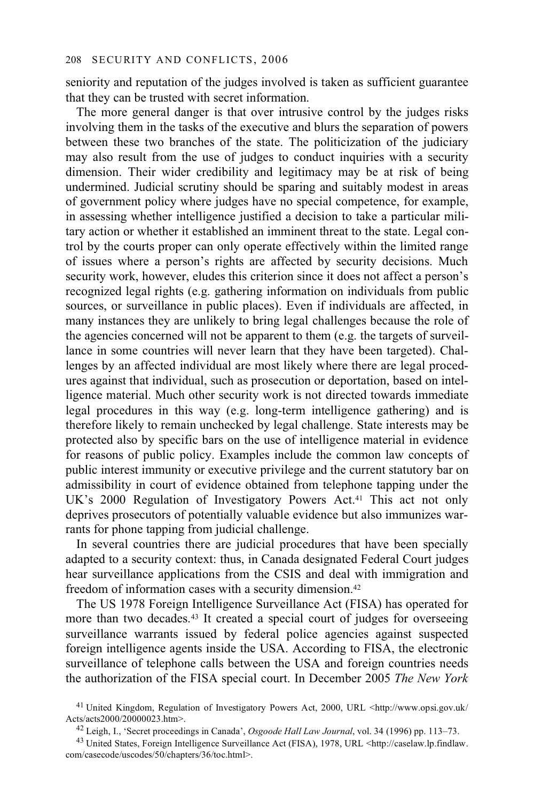seniority and reputation of the judges involved is taken as sufficient guarantee that they can be trusted with secret information.

The more general danger is that over intrusive control by the judges risks involving them in the tasks of the executive and blurs the separation of powers between these two branches of the state. The politicization of the judiciary may also result from the use of judges to conduct inquiries with a security dimension. Their wider credibility and legitimacy may be at risk of being undermined. Judicial scrutiny should be sparing and suitably modest in areas of government policy where judges have no special competence, for example, in assessing whether intelligence justified a decision to take a particular military action or whether it established an imminent threat to the state. Legal control by the courts proper can only operate effectively within the limited range of issues where a person's rights are affected by security decisions. Much security work, however, eludes this criterion since it does not affect a person's recognized legal rights (e.g. gathering information on individuals from public sources, or surveillance in public places). Even if individuals are affected, in many instances they are unlikely to bring legal challenges because the role of the agencies concerned will not be apparent to them (e.g. the targets of surveillance in some countries will never learn that they have been targeted). Challenges by an affected individual are most likely where there are legal procedures against that individual, such as prosecution or deportation, based on intelligence material. Much other security work is not directed towards immediate legal procedures in this way (e.g. long-term intelligence gathering) and is therefore likely to remain unchecked by legal challenge. State interests may be protected also by specific bars on the use of intelligence material in evidence for reasons of public policy. Examples include the common law concepts of public interest immunity or executive privilege and the current statutory bar on admissibility in court of evidence obtained from telephone tapping under the UK's 2000 Regulation of Investigatory Powers Act.41 This act not only deprives prosecutors of potentially valuable evidence but also immunizes warrants for phone tapping from judicial challenge.

In several countries there are judicial procedures that have been specially adapted to a security context: thus, in Canada designated Federal Court judges hear surveillance applications from the CSIS and deal with immigration and freedom of information cases with a security dimension.42

The US 1978 Foreign Intelligence Surveillance Act (FISA) has operated for more than two decades.<sup>43</sup> It created a special court of judges for overseeing surveillance warrants issued by federal police agencies against suspected foreign intelligence agents inside the USA. According to FISA, the electronic surveillance of telephone calls between the USA and foreign countries needs the authorization of the FISA special court. In December 2005 *The New York* 

 <sup>41</sup> United Kingdom, Regulation of Investigatory Powers Act, 2000, URL <http://www.opsi.gov.uk/

<sup>&</sup>lt;sup>42</sup> Leigh, I., 'Secret proceedings in Canada', Osgoode Hall Law Journal, vol. 34 (1996) pp. 113–73.<br><sup>43</sup> United States, Foreign Intelligence Surveillance Act (FISA), 1978, URL <http://caselaw.lp.findlaw.

com/casecode/uscodes/50/chapters/36/toc.html>.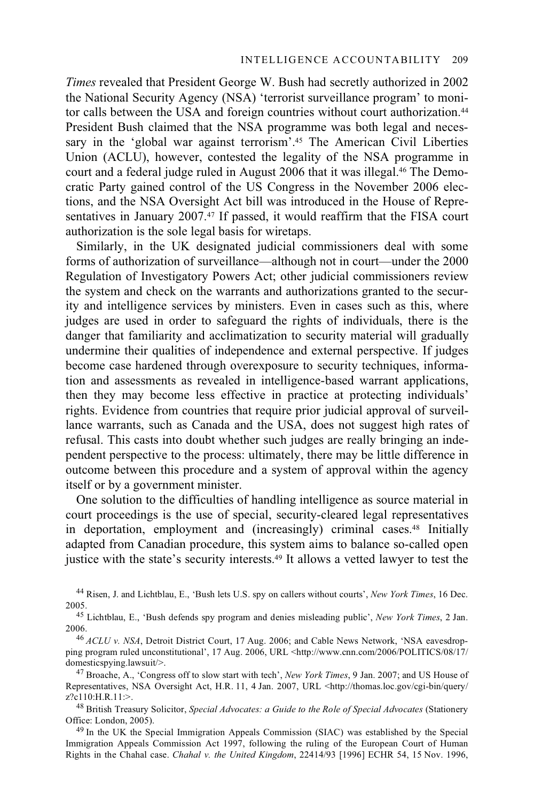*Times* revealed that President George W. Bush had secretly authorized in 2002 the National Security Agency (NSA) 'terrorist surveillance program' to monitor calls between the USA and foreign countries without court authorization.<sup>44</sup> President Bush claimed that the NSA programme was both legal and necessary in the 'global war against terrorism'.<sup>45</sup> The American Civil Liberties Union (ACLU), however, contested the legality of the NSA programme in court and a federal judge ruled in August 2006 that it was illegal.46 The Democratic Party gained control of the US Congress in the November 2006 elections, and the NSA Oversight Act bill was introduced in the House of Representatives in January 2007.<sup>47</sup> If passed, it would reaffirm that the FISA court authorization is the sole legal basis for wiretaps.

Similarly, in the UK designated judicial commissioners deal with some forms of authorization of surveillance—although not in court—under the 2000 Regulation of Investigatory Powers Act; other judicial commissioners review the system and check on the warrants and authorizations granted to the security and intelligence services by ministers. Even in cases such as this, where judges are used in order to safeguard the rights of individuals, there is the danger that familiarity and acclimatization to security material will gradually undermine their qualities of independence and external perspective. If judges become case hardened through overexposure to security techniques, information and assessments as revealed in intelligence-based warrant applications, then they may become less effective in practice at protecting individuals' rights. Evidence from countries that require prior judicial approval of surveillance warrants, such as Canada and the USA, does not suggest high rates of refusal. This casts into doubt whether such judges are really bringing an independent perspective to the process: ultimately, there may be little difference in outcome between this procedure and a system of approval within the agency itself or by a government minister.

One solution to the difficulties of handling intelligence as source material in court proceedings is the use of special, security-cleared legal representatives in deportation, employment and (increasingly) criminal cases.48 Initially adapted from Canadian procedure, this system aims to balance so-called open justice with the state's security interests.<sup>49</sup> It allows a vetted lawyer to test the

44 Risen, J. and Lichtblau, E., 'Bush lets U.S. spy on callers without courts', *New York Times*, 16 Dec.

2005. 45 Lichtblau, E., 'Bush defends spy program and denies misleading public', *New York Times*, 2 Jan.

<sup>46</sup> *ACLU v. NSA*, Detroit District Court, 17 Aug. 2006; and Cable News Network, 'NSA eavesdropping program ruled unconstitutional', 17 Aug. 2006, URL <http://www.cnn.com/2006/POLITICS/08/17/ domesticspying.lawsuit/>.<br><sup>47</sup> Broache, A., 'Congress off to slow start with tech', *New York Times*, 9 Jan. 2007; and US House of

Representatives, NSA Oversight Act, H.R. 11, 4 Jan. 2007, URL <http://thomas.loc.gov/cgi-bin/query/ z?c110:H.R.11:>.

48 British Treasury Solicitor, *Special Advocates: a Guide to the Role of Special Advocates* (Stationery

<sup>49</sup> In the UK the Special Immigration Appeals Commission (SIAC) was established by the Special Immigration Appeals Commission Act 1997, following the ruling of the European Court of Human Rights in the Chahal case. *Chahal v. the United Kingdom*, 22414/93 [1996] ECHR 54, 15 Nov. 1996,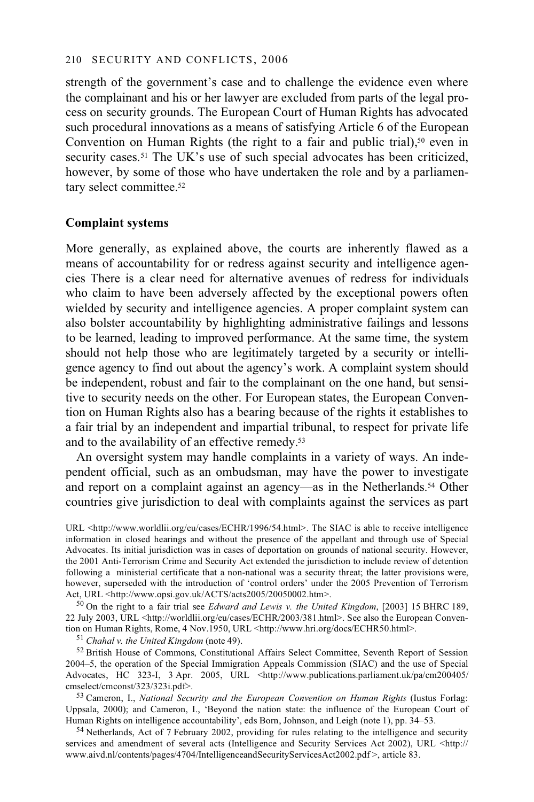strength of the government's case and to challenge the evidence even where the complainant and his or her lawyer are excluded from parts of the legal process on security grounds. The European Court of Human Rights has advocated such procedural innovations as a means of satisfying Article 6 of the European Convention on Human Rights (the right to a fair and public trial),<sup>50</sup> even in security cases.<sup>51</sup> The UK's use of such special advocates has been criticized, however, by some of those who have undertaken the role and by a parliamentary select committee.<sup>52</sup>

## **Complaint systems**

More generally, as explained above, the courts are inherently flawed as a means of accountability for or redress against security and intelligence agencies There is a clear need for alternative avenues of redress for individuals who claim to have been adversely affected by the exceptional powers often wielded by security and intelligence agencies. A proper complaint system can also bolster accountability by highlighting administrative failings and lessons to be learned, leading to improved performance. At the same time, the system should not help those who are legitimately targeted by a security or intelligence agency to find out about the agency's work. A complaint system should be independent, robust and fair to the complainant on the one hand, but sensitive to security needs on the other. For European states, the European Convention on Human Rights also has a bearing because of the rights it establishes to a fair trial by an independent and impartial tribunal, to respect for private life and to the availability of an effective remedy.53

An oversight system may handle complaints in a variety of ways. An independent official, such as an ombudsman, may have the power to investigate and report on a complaint against an agency—as in the Netherlands.<sup>54</sup> Other countries give jurisdiction to deal with complaints against the services as part

<sup>50</sup> On the right to a fair trial see *Edward and Lewis v. the United Kingdom*, [2003] 15 BHRC 189, 22 July 2003, URL <http://worldlii.org/eu/cases/ECHR/2003/381.html>. See also the European Convention on Human Rights, Rome, 4 Nov.1950, URL <http://www.hri.org/docs/ECHR50.html>. <sup>51</sup> *Chahal v. the United Kingdom* (note 49).

52 British House of Commons, Constitutional Affairs Select Committee, Seventh Report of Session 2004–5, the operation of the Special Immigration Appeals Commission (SIAC) and the use of Special Advocates, HC 323-I, 3 Apr. 2005, URL <http://www.publications.parliament.uk/pa/cm200405/

53 Cameron, I., *National Security and the European Convention on Human Rights* (Iustus Forlag: Uppsala, 2000); and Cameron, I., 'Beyond the nation state: the influence of the European Court of Human Rights on intelligence accountability', eds Born, Johnson, and Leigh (note 1), pp. 34–53.

54 Netherlands, Act of 7 February 2002, providing for rules relating to the intelligence and security services and amendment of several acts (Intelligence and Security Services Act 2002), URL <http:// www.aivd.nl/contents/pages/4704/IntelligenceandSecurityServicesAct2002.pdf >, article 83.

URL <http://www.worldlii.org/eu/cases/ECHR/1996/54.html>. The SIAC is able to receive intelligence information in closed hearings and without the presence of the appellant and through use of Special Advocates. Its initial jurisdiction was in cases of deportation on grounds of national security. However, the 2001 Anti-Terrorism Crime and Security Act extended the jurisdiction to include review of detention following a ministerial certificate that a non-national was a security threat; the latter provisions were, however, superseded with the introduction of 'control orders' under the 2005 Prevention of Terrorism<br>Act, URL <http://www.opsi.gov.uk/ACTS/acts2005/20050002.htm>.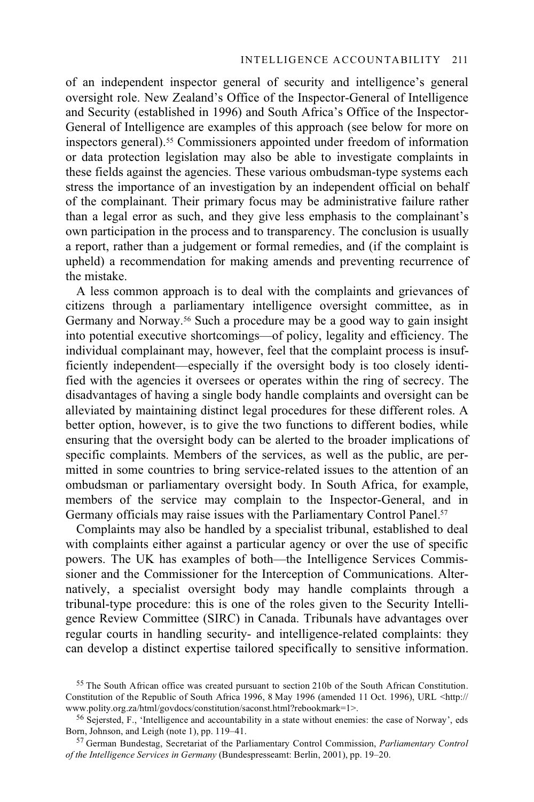of an independent inspector general of security and intelligence's general oversight role. New Zealand's Office of the Inspector-General of Intelligence and Security (established in 1996) and South Africa's Office of the Inspector-General of Intelligence are examples of this approach (see below for more on inspectors general).55 Commissioners appointed under freedom of information or data protection legislation may also be able to investigate complaints in these fields against the agencies. These various ombudsman-type systems each stress the importance of an investigation by an independent official on behalf of the complainant. Their primary focus may be administrative failure rather than a legal error as such, and they give less emphasis to the complainant's own participation in the process and to transparency. The conclusion is usually a report, rather than a judgement or formal remedies, and (if the complaint is upheld) a recommendation for making amends and preventing recurrence of the mistake.

A less common approach is to deal with the complaints and grievances of citizens through a parliamentary intelligence oversight committee, as in Germany and Norway.56 Such a procedure may be a good way to gain insight into potential executive shortcomings—of policy, legality and efficiency. The individual complainant may, however, feel that the complaint process is insufficiently independent—especially if the oversight body is too closely identified with the agencies it oversees or operates within the ring of secrecy. The disadvantages of having a single body handle complaints and oversight can be alleviated by maintaining distinct legal procedures for these different roles. A better option, however, is to give the two functions to different bodies, while ensuring that the oversight body can be alerted to the broader implications of specific complaints. Members of the services, as well as the public, are permitted in some countries to bring service-related issues to the attention of an ombudsman or parliamentary oversight body. In South Africa, for example, members of the service may complain to the Inspector-General, and in Germany officials may raise issues with the Parliamentary Control Panel.<sup>57</sup>

Complaints may also be handled by a specialist tribunal, established to deal with complaints either against a particular agency or over the use of specific powers. The UK has examples of both—the Intelligence Services Commissioner and the Commissioner for the Interception of Communications. Alternatively, a specialist oversight body may handle complaints through a tribunal-type procedure: this is one of the roles given to the Security Intelligence Review Committee (SIRC) in Canada. Tribunals have advantages over regular courts in handling security- and intelligence-related complaints: they can develop a distinct expertise tailored specifically to sensitive information.

<sup>&</sup>lt;sup>55</sup> The South African office was created pursuant to section 210b of the South African Constitution. Constitution of the Republic of South Africa 1996, 8 May 1996 (amended 11 Oct. 1996), URL <http:// www.polity.org.za/html/govdocs/constitution/saconst.html?rebookmark=1>.

<sup>&</sup>lt;sup>56</sup> Sejersted, F., 'Intelligence and accountability in a state without enemies: the case of Norway', eds Born, Johnson, and Leigh (note 1), pp. 119–41.

<sup>&</sup>lt;sup>57</sup> German Bundestag, Secretariat of the Parliamentary Control Commission, *Parliamentary Control of the Intelligence Services in Germany* (Bundespresseamt: Berlin, 2001), pp. 19–20.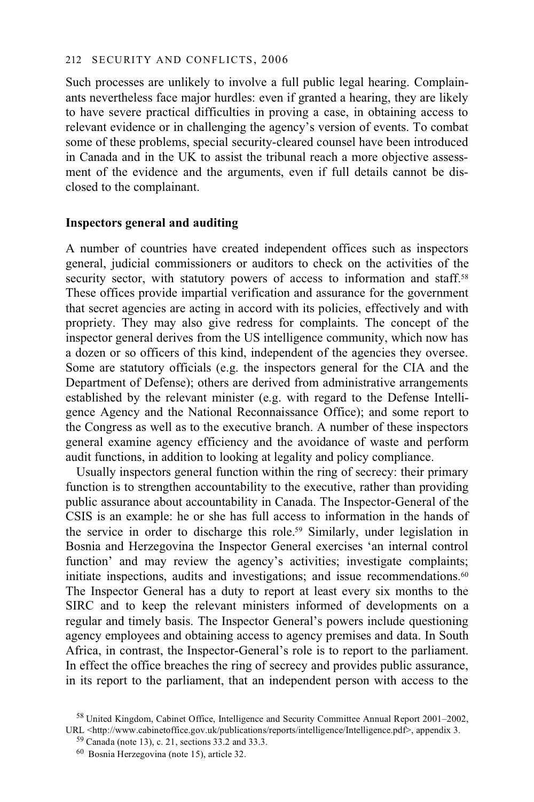Such processes are unlikely to involve a full public legal hearing. Complainants nevertheless face major hurdles: even if granted a hearing, they are likely to have severe practical difficulties in proving a case, in obtaining access to relevant evidence or in challenging the agency's version of events. To combat some of these problems, special security-cleared counsel have been introduced in Canada and in the UK to assist the tribunal reach a more objective assessment of the evidence and the arguments, even if full details cannot be disclosed to the complainant.

# **Inspectors general and auditing**

A number of countries have created independent offices such as inspectors general, judicial commissioners or auditors to check on the activities of the security sector, with statutory powers of access to information and staff.<sup>58</sup> These offices provide impartial verification and assurance for the government that secret agencies are acting in accord with its policies, effectively and with propriety. They may also give redress for complaints. The concept of the inspector general derives from the US intelligence community, which now has a dozen or so officers of this kind, independent of the agencies they oversee. Some are statutory officials (e.g. the inspectors general for the CIA and the Department of Defense); others are derived from administrative arrangements established by the relevant minister (e.g. with regard to the Defense Intelligence Agency and the National Reconnaissance Office); and some report to the Congress as well as to the executive branch. A number of these inspectors general examine agency efficiency and the avoidance of waste and perform audit functions, in addition to looking at legality and policy compliance.

Usually inspectors general function within the ring of secrecy: their primary function is to strengthen accountability to the executive, rather than providing public assurance about accountability in Canada. The Inspector-General of the CSIS is an example: he or she has full access to information in the hands of the service in order to discharge this role.59 Similarly, under legislation in Bosnia and Herzegovina the Inspector General exercises 'an internal control function' and may review the agency's activities; investigate complaints; initiate inspections, audits and investigations; and issue recommendations.<sup>60</sup> The Inspector General has a duty to report at least every six months to the SIRC and to keep the relevant ministers informed of developments on a regular and timely basis. The Inspector General's powers include questioning agency employees and obtaining access to agency premises and data. In South Africa, in contrast, the Inspector-General's role is to report to the parliament. In effect the office breaches the ring of secrecy and provides public assurance, in its report to the parliament, that an independent person with access to the

 <sup>58</sup> United Kingdom, Cabinet Office, Intelligence and Security Committee Annual Report 2001–2002, URL <http://www.cabinetoffice.gov.uk/publications/reports/intelligence/Intelligence.pdf>, appendix 3.

<sup>59</sup> Canada (note 13), c. 21, sections 33.2 and 33.3.

<sup>60</sup> Bosnia Herzegovina (note 15), article 32.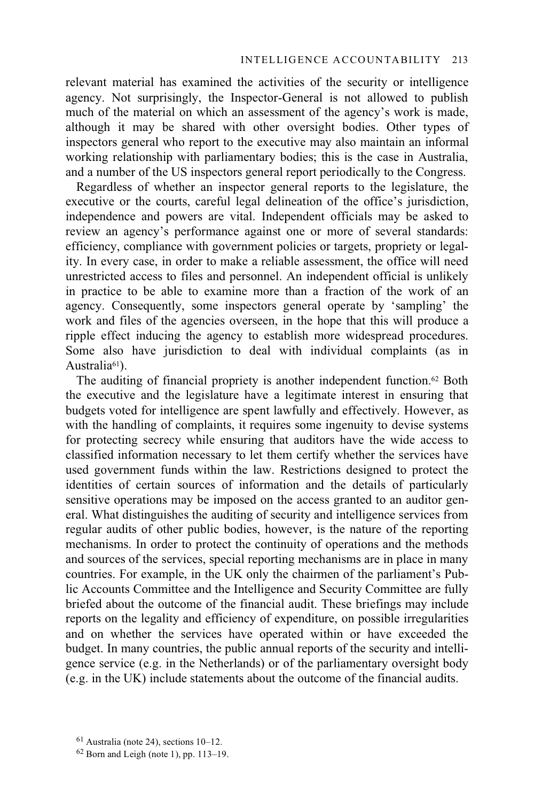relevant material has examined the activities of the security or intelligence agency. Not surprisingly, the Inspector-General is not allowed to publish much of the material on which an assessment of the agency's work is made, although it may be shared with other oversight bodies. Other types of inspectors general who report to the executive may also maintain an informal working relationship with parliamentary bodies; this is the case in Australia, and a number of the US inspectors general report periodically to the Congress.

Regardless of whether an inspector general reports to the legislature, the executive or the courts, careful legal delineation of the office's jurisdiction, independence and powers are vital. Independent officials may be asked to review an agency's performance against one or more of several standards: efficiency, compliance with government policies or targets, propriety or legality. In every case, in order to make a reliable assessment, the office will need unrestricted access to files and personnel. An independent official is unlikely in practice to be able to examine more than a fraction of the work of an agency. Consequently, some inspectors general operate by 'sampling' the work and files of the agencies overseen, in the hope that this will produce a ripple effect inducing the agency to establish more widespread procedures. Some also have jurisdiction to deal with individual complaints (as in Australia<sup>61</sup>).

The auditing of financial propriety is another independent function.62 Both the executive and the legislature have a legitimate interest in ensuring that budgets voted for intelligence are spent lawfully and effectively. However, as with the handling of complaints, it requires some ingenuity to devise systems for protecting secrecy while ensuring that auditors have the wide access to classified information necessary to let them certify whether the services have used government funds within the law. Restrictions designed to protect the identities of certain sources of information and the details of particularly sensitive operations may be imposed on the access granted to an auditor general. What distinguishes the auditing of security and intelligence services from regular audits of other public bodies, however, is the nature of the reporting mechanisms. In order to protect the continuity of operations and the methods and sources of the services, special reporting mechanisms are in place in many countries. For example, in the UK only the chairmen of the parliament's Public Accounts Committee and the Intelligence and Security Committee are fully briefed about the outcome of the financial audit. These briefings may include reports on the legality and efficiency of expenditure, on possible irregularities and on whether the services have operated within or have exceeded the budget. In many countries, the public annual reports of the security and intelligence service (e.g. in the Netherlands) or of the parliamentary oversight body (e.g. in the UK) include statements about the outcome of the financial audits.

 $61$  Australia (note 24), sections 10–12.

 $62$  Born and Leigh (note 1), pp. 113–19.